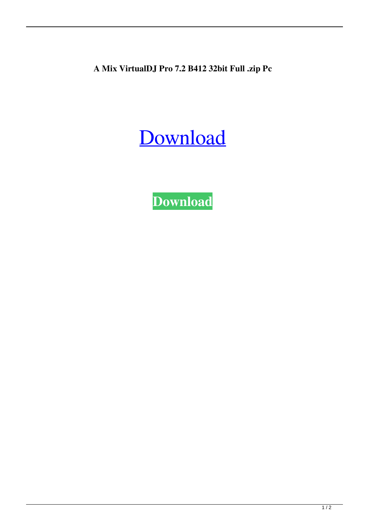**A Mix VirtualDJ Pro 7.2 B412 32bit Full .zip Pc**

[Download](http://evacdir.com/ZG93bmxvYWR8N3lZTkhGOGZERTJOVEkzTkRBNE5qWjhmREkxTnpSOGZDaE5LU0J5WldGa0xXSnNiMmNnVzBaaGMzUWdSMFZPWFE/atcheson/personhood/filthy.bohemian?&QXRvbWl4IFZpcnR1YWxESiBQcm8gNy4yIChiNDEyKSBGdWxsIC1BY2VDcmFjay0gZnVsbCB2ZXJzaW9uQXR=)

**[Download](http://evacdir.com/ZG93bmxvYWR8N3lZTkhGOGZERTJOVEkzTkRBNE5qWjhmREkxTnpSOGZDaE5LU0J5WldGa0xXSnNiMmNnVzBaaGMzUWdSMFZPWFE/atcheson/personhood/filthy.bohemian?&QXRvbWl4IFZpcnR1YWxESiBQcm8gNy4yIChiNDEyKSBGdWxsIC1BY2VDcmFjay0gZnVsbCB2ZXJzaW9uQXR=)**